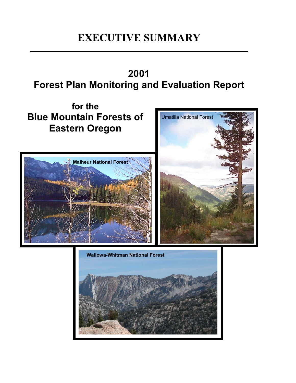# **EXECUTIVE SUMMARY**

# **2001 Forest Plan Monitoring and Evaluation Report**

Umatilla National Forest **for the Blue Mountain Forests of Eastern Oregon Malheur National Forest Wallowa-Whitman National Forest** 

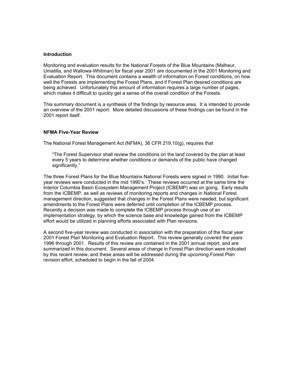#### **Introduction**

Monitoring and evaluation results for the National Forests of the Blue Mountains (Malheur, Umatilla, and Wallowa-Whitman) for fiscal year 2001 are documented in the 2001 Monitoring and Evaluation Report. This document contains a wealth of information on Forest conditions, on how well the Forests are implementing the Forest Plans, and if Forest Plan desired conditions are being achieved. Unfortunately this amount of information requires a large number of pages, which makes it difficult to quickly get a sense of the overall condition of the Forests.

This summary document is a synthesis of the findings by resource area. It is intended to provide an overview of the 2001 report. More detailed discussions of these findings can be found in the 2001 report itself.

#### **NFMA Five-Year Review**

The National Forest Management Act (NFMA), 36 CFR 219.10(g), requires that

"The Forest Supervisor shall review the conditions on the land covered by the plan at least every 5 years to determine whether conditions or demands of the public have changed significantly."

The three Forest Plans for the Blue Mountains National Forests were signed in 1990. Initial fiveyear reviews were conducted in the mid 1990's. These reviews occurred at the same time the Interior Columbia Basin Ecosystem Management Project (ICBEMP) was on going. Early results from the ICBEMP, as well as reviews of monitoring reports and changes in National Forest management direction, suggested that changes in the Forest Plans were needed, but significant amendments to the Forest Plans were deferred until completion of the ICBEMP process. Recently a decision was made to complete the ICBEMP process through use of an implementation strategy, by which the science base and knowledge gained from the ICBEMP effort would be utilized in planning efforts associated with Plan revisions.

A second five-year review was conducted in association with the preparation of the fiscal year 2001 Forest Plan Monitoring and Evaluation Report. This review generally covered the years 1996 through 2001. Results of this review are contained in the 2001 annual report, and are summarized in this document. Several areas of change in Forest Plan direction were indicated by this recent review, and these areas will be addressed during the upcoming Forest Plan revision effort, scheduled to begin in the fall of 2004.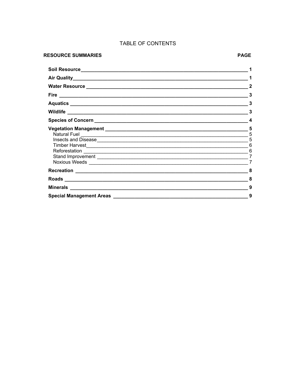# TABLE OF CONTENTS

#### **RESOURCE SUMMARIES**

| 3                                       |
|-----------------------------------------|
| 3                                       |
| 3                                       |
| 4                                       |
| $\sqrt{5}$<br>5<br>5<br>$6\phantom{1}6$ |
| 6<br>7<br>$\overline{7}$                |
| 8                                       |
| 8                                       |
| 9                                       |
| 9                                       |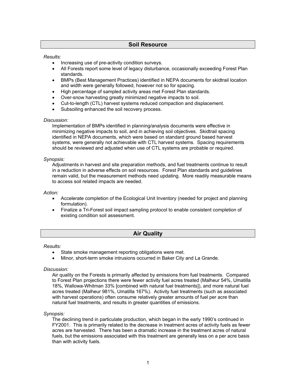# **Soil Resource**

#### <span id="page-3-0"></span>*Results:*

- Increasing use of pre-activity condition surveys.
- All Forests report some level of legacy disturbance, occasionally exceeding Forest Plan standards.
- BMPs (Best Management Practices) identified in NEPA documents for skidtrail location and width were generally followed, however not so for spacing.
- High percentage of sampled activity areas met Forest Plan standards.
- Over-snow harvesting greatly minimized negative impacts to soil.
- Cut-to-length (CTL) harvest systems reduced compaction and displacement.
- Subsoiling enhanced the soil recovery process.

#### *Discussion:*

Implementation of BMPs identified in planning/analysis documents were effective in minimizing negative impacts to soil, and in achieving soil objectives. Skidtrail spacing identified in NEPA documents, which were based on standard ground based harvest systems, were generally not achievable with CTL harvest systems. Spacing requirements should be reviewed and adjusted when use of CTL systems are probable or required.

#### *Synopsis:*

Adjustments in harvest and site preparation methods, and fuel treatments continue to result in a reduction in adverse effects on soil resources. Forest Plan standards and guidelines remain valid, but the measurement methods need updating. More readily measurable means to access soil related impacts are needed.

#### *Action:*

- Accelerate completion of the Ecological Unit Inventory (needed for project and planning formulation).
- Finalize a Tri-Forest soil impact sampling protocol to enable consistent completion of existing condition soil assessment.

# **Air Quality**

#### *Results:*

- State smoke management reporting obligations were met.
- Minor, short-term smoke intrusions occurred in Baker City and La Grande.

#### *Discussion:*

Air quality on the Forests is primarily affected by emissions from fuel treatments. Compared to Forest Plan projections there were fewer activity fuel acres treated (Malheur 54%, Umatilla 18%, Wallowa-Whitman 33% [combined with natural fuel treatments]), and more natural fuel acres treated (Malheur 981%, Umatilla 167%). Activity fuel treatments (such as associated with harvest operations) often consume relatively greater amounts of fuel per acre than natural fuel treatments, and results in greater quantities of emissions.

#### *Synopsis:*

The declining trend in particulate production, which began in the early 1990's continued in FY2001. This is primarily related to the decrease in treatment acres of activity fuels as fewer acres are harvested. There has been a dramatic increase in the treatment acres of natural fuels, but the emissions associated with this treatment are generally less on a per acre basis than with activity fuels.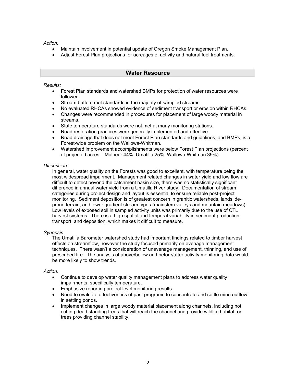<span id="page-4-0"></span>*Action:* 

- Maintain involvement in potential update of Oregon Smoke Management Plan.
- Adjust Forest Plan projections for acreages of activity and natural fuel treatments.

# **Water Resource**

*Results:*

- Forest Plan standards and watershed BMPs for protection of water resources were followed.
- Stream buffers met standards in the majority of sampled streams.
- No evaluated RHCAs showed evidence of sediment transport or erosion within RHCAs.
- Changes were recommended in procedures for placement of large woody material in streams.
- State temperature standards were not met at many monitoring stations.
- Road restoration practices were generally implemented and effective.
- Road drainage that does not meet Forest Plan standards and guidelines, and BMPs, is a Forest-wide problem on the Wallowa-Whitman.
- Watershed improvement accomplishments were below Forest Plan projections (percent of projected acres – Malheur 44%, Umatilla 25%, Wallowa-Whitman 39%).

#### *Discussion:*

In general, water quality on the Forests was good to excellent, with temperature being the most widespread impairment. Management related changes in water yield and low flow are difficult to detect beyond the catchment basin size, there was no statistically significant difference in annual water yield from a Umatilla River study. Documentation of stream categories during project design and layout is essential to ensure reliable post-project monitoring. Sediment deposition is of greatest concern in granitic watersheds, landslideprone terrain, and lower gradient stream types (mainstem valleys and mountain meadows). Low levels of exposed soil in sampled activity units was primarily due to the use of CTL harvest systems. There is a high spatial and temporal variability in sediment production, transport, and deposition, which makes it difficult to measure.

#### *Synopsis:*

The Umatilla Barometer watershed study had important findings related to timber harvest effects on streamflow, however the study focused primarily on evenage management techniques. There wasn't a consideration of unevenage management, thinning, and use of prescribed fire. The analysis of above/below and before/after activity monitoring data would be more likely to show trends.

#### *Action:*

- Continue to develop water quality management plans to address water quality impairments, specifically temperature.
- Emphasize reporting project level monitoring results.
- Need to evaluate effectiveness of past programs to concentrate and settle mine outflow in settling ponds.
- Implement changes in large woody material placement along channels, including not cutting dead standing trees that will reach the channel and provide wildlife habitat, or trees providing channel stability.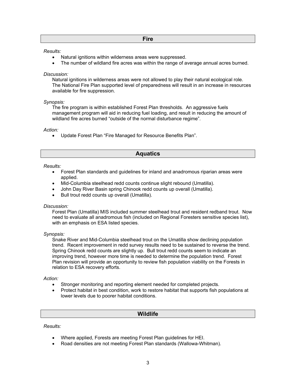# **Fire**

#### <span id="page-5-0"></span>*Results:*

- Natural ignitions within wilderness areas were suppressed.
- The number of wildland fire acres was within the range of average annual acres burned.

#### *Discussion:*

Natural ignitions in wilderness areas were not allowed to play their natural ecological role. The National Fire Plan supported level of preparedness will result in an increase in resources available for fire suppression.

## *Synopsis:*

The fire program is within established Forest Plan thresholds. An aggressive fuels management program will aid in reducing fuel loading, and result in reducing the amount of wildland fire acres burned "outside of the normal disturbance regime".

*Action:* 

• Update Forest Plan "Fire Managed for Resource Benefits Plan".

# **Aquatics**

*Results:*

- Forest Plan standards and guidelines for inland and anadromous riparian areas were applied.
- Mid-Columbia steelhead redd counts continue slight rebound (Umatilla).
- John Day River Basin spring Chinook redd counts up overall (Umatilla).
- Bull trout redd counts up overall (Umatilla).

# *Discussion:*

Forest Plan (Umatilla) MIS included summer steelhead trout and resident redband trout. Now need to evaluate all anadromous fish (included on Regional Foresters sensitive species list), with an emphasis on ESA listed species.

*Synopsis:*

Snake River and Mid-Columbia steelhead trout on the Umatilla show declining population trend. Recent improvement in redd survey results need to be sustained to reverse the trend. Spring Chinook redd counts are slightly up. Bull trout redd counts seem to indicate an improving trend, however more time is needed to determine the population trend. Forest Plan revision will provide an opportunity to review fish population viability on the Forests in relation to ESA recovery efforts.

# *Action:*

- Stronger monitoring and reporting element needed for completed projects.
- Protect habitat in best condition, work to restore habitat that supports fish populations at lower levels due to poorer habitat conditions.

# **Wildlife**

*Results:*

- Where applied, Forests are meeting Forest Plan guidelines for HEI.
- Road densities are not meeting Forest Plan standards (Wallowa-Whitman).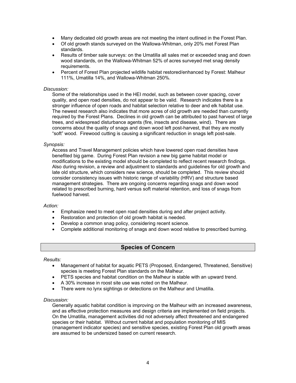- <span id="page-6-0"></span>• Many dedicated old growth areas are not meeting the intent outlined in the Forest Plan.
- Of old growth stands surveyed on the Wallowa-Whitman, only 20% met Forest Plan standards.
- Results of timber sale surveys: on the Umatilla all sales met or exceeded snag and down wood standards, on the Wallowa-Whitman 52% of acres surveyed met snag density requirements.
- Percent of Forest Plan projected wildlife habitat restored/enhanced by Forest: Malheur 111%, Umatilla 14%, and Wallowa-Whitman 250%.

#### *Discussion:*

Some of the relationships used in the HEI model, such as between cover spacing, cover quality, and open road densities, do not appear to be valid. Research indicates there is a stronger influence of open roads and habitat selection relative to deer and elk habitat use. The newest research also indicates that more acres of old growth are needed than currently required by the Forest Plans. Declines in old growth can be attributed to past harvest of large trees, and widespread disturbance agents (fire, insects and disease, wind). There are concerns about the quality of snags and down wood left post-harvest, that they are mostly "soft" wood. Firewood cutting is causing a significant reduction in snags left post-sale.

#### *Synopsis:*

Access and Travel Management policies which have lowered open road densities have benefited big game. During Forest Plan revision a new big game habitat model or modifications to the existing model should be completed to reflect recent research findings. Also during revision, a review and adjustment to standards and guidelines for old growth and late old structure, which considers new science, should be completed. This review should consider consistency issues with historic range of variability (HRV) and structure based management strategies. There are ongoing concerns regarding snags and down wood related to prescribed burning, hard versus soft material retention, and loss of snags from fuelwood harvest.

#### *Action:*

- Emphasize need to meet open road densities during and after project activity.
- Restoration and protection of old growth habitat is needed.
- Develop a common snag policy, considering recent science.
- Complete additional monitoring of snags and down wood relative to prescribed burning.

# **Species of Concern**

#### *Results:*

- Management of habitat for aquatic PETS (Proposed, Endangered, Threatened, Sensitive) species is meeting Forest Plan standards on the Malheur.
- PETS species and habitat condition on the Malheur is stable with an upward trend.
- A 30% increase in roost site use was noted on the Malheur.
- There were no lynx sightings or detections on the Malheur and Umatilla.

#### *Discussion:*

Generally aquatic habitat condition is improving on the Malheur with an increased awareness, and as effective protection measures and design criteria are implemented on field projects. On the Umatilla, management activities did not adversely affect threatened and endangered species or their habitat. Without current habitat and population monitoring of MIS (management indicator species) and sensitive species, existing Forest Plan old growth areas are assumed to be undersized based on current research.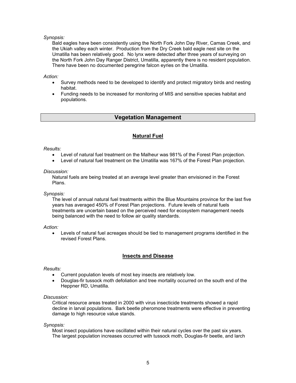# <span id="page-7-0"></span>*Synopsis:*

Bald eagles have been consistently using the North Fork John Day River, Camas Creek, and the Ukiah valley each winter. Production from the Dry Creek bald eagle nest site on the Umatilla has been relatively good. No lynx were detected after three years of surveying on the North Fork John Day Ranger District, Umatilla, apparently there is no resident population. There have been no documented peregrine falcon eyries on the Umatilla.

## *Action:*

- Survey methods need to be developed to identify and protect migratory birds and nesting habitat.
- Funding needs to be increased for monitoring of MIS and sensitive species habitat and populations.

# **Vegetation Management**

# **Natural Fuel**

## *Results:*

- Level of natural fuel treatment on the Malheur was 981% of the Forest Plan projection.
- Level of natural fuel treatment on the Umatilla was 167% of the Forest Plan projection.

#### *Discussion:*

Natural fuels are being treated at an average level greater than envisioned in the Forest Plans.

#### *Synopsis:*

The level of annual natural fuel treatments within the Blue Mountains province for the last five years has averaged 450% of Forest Plan projections. Future levels of natural fuels treatments are uncertain based on the perceived need for ecosystem management needs being balanced with the need to follow air quality standards.

#### *Action:*

• Levels of natural fuel acreages should be tied to management programs identified in the revised Forest Plans.

# **Insects and Disease**

#### *Results:*

- Current population levels of most key insects are relatively low.
- Douglas-fir tussock moth defoliation and tree mortality occurred on the south end of the Heppner RD, Umatilla.

#### *Discussion:*

Critical resource areas treated in 2000 with virus insecticide treatments showed a rapid decline in larval populations. Bark beetle pheromone treatments were effective in preventing damage to high resource value stands.

*Synopsis:*

Most insect populations have oscillated within their natural cycles over the past six years. The largest population increases occurred with tussock moth, Douglas-fir beetle, and larch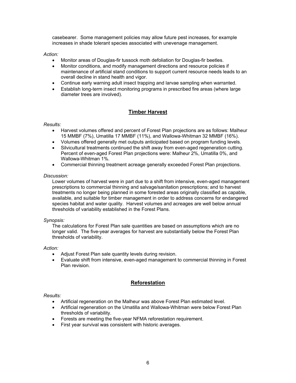<span id="page-8-0"></span>casebearer. Some management policies may allow future pest increases, for example increases in shade tolerant species associated with unevenage management.

*Action:* 

- Monitor areas of Douglas-fir tussock moth defoliation for Douglas-fir beetles.
- Monitor conditions, and modify management directions and resource policies if maintenance of artificial stand conditions to support current resource needs leads to an overall decline in stand health and vigor.
- Continue early warning adult insect trapping and larvae sampling when warranted.
- Establish long-term insect monitoring programs in prescribed fire areas (where large diameter trees are involved).

# **Timber Harvest**

*Results:*

- Harvest volumes offered and percent of Forest Plan projections are as follows: Malheur 15 MMBF (7%), Umatilla 17 MMBF (11%), and Wallowa-Whitman 32 MMBF (16%).
- Volumes offered generally met outputs anticipated based on program funding levels.
- Silvicultural treatments continued the shift away from even-aged regeneration cutting. Percent of even-aged Forest Plan projections were: Malheur 2%, Umatilla 0%, and Wallowa-Whitman 1%.
- Commercial thinning treatment acreage generally exceeded Forest Plan projections.

## *Discussion:*

Lower volumes of harvest were in part due to a shift from intensive, even-aged management prescriptions to commercial thinning and salvage/sanitation prescriptions; and to harvest treatments no longer being planned in some forested areas originally classified as capable, available, and suitable for timber management in order to address concerns for endangered species habitat and water quality. Harvest volumes and acreages are well below annual thresholds of variability established in the Forest Plans.

# *Synopsis:*

The calculations for Forest Plan sale quantities are based on assumptions which are no longer valid. The five-year averages for harvest are substantially below the Forest Plan thresholds of variability.

*Action:* 

- Adjust Forest Plan sale quantity levels during revision.
- Evaluate shift from intensive, even-aged management to commercial thinning in Forest Plan revision.

# **Reforestation**

*Results:*

- Artificial regeneration on the Malheur was above Forest Plan estimated level.
- Artificial regeneration on the Umatilla and Wallowa-Whitman were below Forest Plan thresholds of variability.
- Forests are meeting the five-year NFMA reforestation requirement.
- First year survival was consistent with historic averages.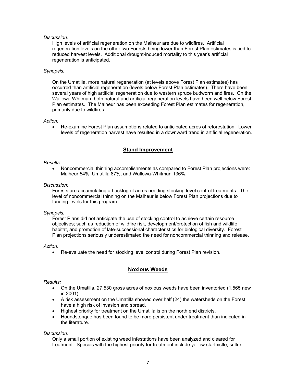## <span id="page-9-0"></span>*Discussion:*

High levels of artificial regeneration on the Malheur are due to wildfires. Artificial regeneration levels on the other two Forests being lower than Forest Plan estimates is tied to reduced harvest levels. Additional drought-induced mortality to this year's artificial regeneration is anticipated.

#### *Synopsis:*

On the Umatilla, more natural regeneration (at levels above Forest Plan estimates) has occurred than artificial regeneration (levels below Forest Plan estimates). There have been several years of high artificial regeneration due to western spruce budworm and fires. On the Wallowa-Whitman, both natural and artificial regeneration levels have been well below Forest Plan estimates. The Malheur has been exceeding Forest Plan estimates for regeneration, primarily due to wildfires.

#### *Action:*

• Re-examine Forest Plan assumptions related to anticipated acres of reforestation. Lower levels of regeneration harvest have resulted in a downward trend in artificial regeneration.

# **Stand Improvement**

#### *Results:*

• Noncommercial thinning accomplishments as compared to Forest Plan projections were: Malheur 54%, Umatilla 87%, and Wallowa-Whitman 136%.

#### *Discussion:*

Forests are accumulating a backlog of acres needing stocking level control treatments. The level of noncommercial thinning on the Malheur is below Forest Plan projections due to funding levels for this program.

#### *Synopsis:*

Forest Plans did not anticipate the use of stocking control to achieve certain resource objectives; such as reduction of wildfire risk, development/protection of fish and wildlife habitat, and promotion of late-successional characteristics for biological diversity. Forest Plan projections seriously underestimated the need for noncommercial thinning and release.

#### *Action:*

• Re-evaluate the need for stocking level control during Forest Plan revision.

# **Noxious Weeds**

#### *Results:*

- On the Umatilla, 27,530 gross acres of noxious weeds have been inventoried (1,565 new in 2001).
- A risk assessment on the Umatilla showed over half (24) the watersheds on the Forest have a high risk of invasion and spread.
- Highest priority for treatment on the Umatilla is on the north end districts.
- Houndstonque has been found to be more persistent under treatment than indicated in the literature.

#### *Discussion:*

Only a small portion of existing weed infestations have been analyzed and cleared for treatment. Species with the highest priority for treatment include yellow starthistle, sulfur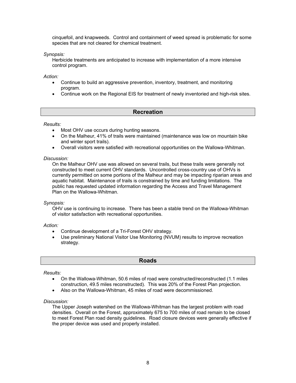<span id="page-10-0"></span>cinquefoil, and knapweeds. Control and containment of weed spread is problematic for some species that are not cleared for chemical treatment.

*Synopsis:*

Herbicide treatments are anticipated to increase with implementation of a more intensive control program.

*Action:* 

- Continue to build an aggressive prevention, inventory, treatment, and monitoring program.
- Continue work on the Regional EIS for treatment of newly inventoried and high-risk sites.

# **Recreation**

*Results:*

- Most OHV use occurs during hunting seasons.
- On the Malheur, 41% of trails were maintained (maintenance was low on mountain bike and winter sport trails).
- Overall visitors were satisfied with recreational opportunities on the Wallowa-Whitman.

#### *Discussion:*

On the Malheur OHV use was allowed on several trails, but these trails were generally not constructed to meet current OHV standards. Uncontrolled cross-country use of OHVs is currently permitted on some portions of the Malheur and may be impacting riparian areas and aquatic habitat. Maintenance of trails is constrained by time and funding limitations. The public has requested updated information regarding the Access and Travel Management Plan on the Wallowa-Whitman.

## *Synopsis:*

OHV use is continuing to increase. There has been a stable trend on the Wallowa-Whitman of visitor satisfaction with recreational opportunities.

*Action:* 

- Continue development of a Tri-Forest OHV strategy.
- Use preliminary National Visitor Use Monitoring (NVUM) results to improve recreation strategy.

#### **Roads**

*Results:*

- On the Wallowa-Whitman, 50.6 miles of road were constructed/reconstructed (1.1 miles construction, 49.5 miles reconstructed). This was 20% of the Forest Plan projection.
- Also on the Wallowa-Whitman, 45 miles of road were decommissioned.

#### *Discussion:*

The Upper Joseph watershed on the Wallowa-Whitman has the largest problem with road densities. Overall on the Forest, approximately 675 to 700 miles of road remain to be closed to meet Forest Plan road density guidelines. Road closure devices were generally effective if the proper device was used and properly installed.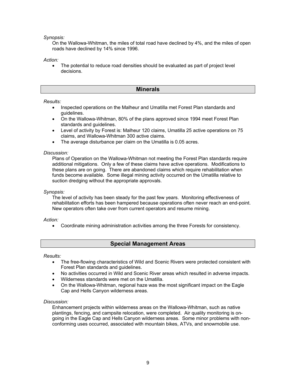<span id="page-11-0"></span>*Synopsis:*

On the Wallowa-Whitman, the miles of total road have declined by 4%, and the miles of open roads have declined by 14% since 1996.

*Action:* 

The potential to reduce road densities should be evaluated as part of project level decisions.

# **Minerals**

## *Results:*

- Inspected operations on the Malheur and Umatilla met Forest Plan standards and guidelines.
- On the Wallowa-Whitman, 80% of the plans approved since 1994 meet Forest Plan standards and guidelines.
- Level of activity by Forest is: Malheur 120 claims, Umatilla 25 active operations on 75 claims, and Wallowa-Whitman 300 active claims.
- The average disturbance per claim on the Umatilla is 0.05 acres.

## *Discussion:*

Plans of Operation on the Wallowa-Whitman not meeting the Forest Plan standards require additional mitigations. Only a few of these claims have active operations. Modifications to these plans are on going. There are abandoned claims which require rehabilitation when funds become available. Some illegal mining activity occurred on the Umatilla relative to suction dredging without the appropriate approvals.

*Synopsis:*

The level of activity has been steady for the past few years. Monitoring effectiveness of rehabilitation efforts has been hampered because operations often never reach an end-point. New operators often take over from current operators and resume mining.

#### *Action:*

• Coordinate mining administration activities among the three Forests for consistency.

# **Special Management Areas**

#### *Results:*

- The free-flowing characteristics of Wild and Scenic Rivers were protected consistent with Forest Plan standards and guidelines.
- No activities occurred in Wild and Scenic River areas which resulted in adverse impacts.
- Wilderness standards were met on the Umatilla.
- On the Wallowa-Whitman, regional haze was the most significant impact on the Eagle Cap and Hells Canyon wilderness areas.

#### *Discussion:*

Enhancement projects within wilderness areas on the Wallowa-Whitman, such as native plantings, fencing, and campsite relocation, were completed. Air quality monitoring is ongoing in the Eagle Cap and Hells Canyon wilderness areas. Some minor problems with nonconforming uses occurred, associated with mountain bikes, ATVs, and snowmobile use.